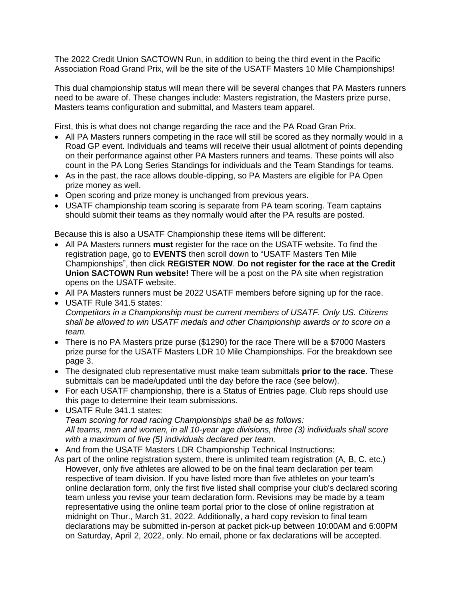The 2022 Credit Union SACTOWN Run, in addition to being the third event in the Pacific Association Road Grand Prix, will be the site of the USATF Masters 10 Mile Championships!

This dual championship status will mean there will be several changes that PA Masters runners need to be aware of. These changes include: Masters registration, the Masters prize purse, Masters teams configuration and submittal, and Masters team apparel.

First, this is what does not change regarding the race and the PA Road Gran Prix.

- All PA Masters runners competing in the race will still be scored as they normally would in a Road GP event. Individuals and teams will receive their usual allotment of points depending on their performance against other PA Masters runners and teams. These points will also count in the PA Long Series Standings for individuals and the Team Standings for teams.
- As in the past, the race allows double-dipping, so PA Masters are eligible for PA Open prize money as well.
- Open scoring and prize money is unchanged from previous years.
- USATF championship team scoring is separate from PA team scoring. Team captains should submit their teams as they normally would after the PA results are posted.

Because this is also a USATF Championship these items will be different:

- All PA Masters runners **must** register for the race on the USATF website. To find the registration page, go to **EVENTS** then scroll down to "USATF Masters Ten Mile Championships", then click **REGISTER NOW**. **Do not register for the race at the Credit Union SACTOWN Run website!** There will be a post on the PA site when registration opens on the USATF website.
- All PA Masters runners must be 2022 USATF members before signing up for the race.
- USATF Rule 341.5 states: *Competitors in a Championship must be current members of USATF. Only US. Citizens shall be allowed to win USATF medals and other Championship awards or to score on a team.*
- There is no PA Masters prize purse (\$1290) for the race There will be a \$7000 Masters prize purse for the USATF Masters LDR 10 Mile Championships. For the breakdown see page 3.
- The designated club representative must make team submittals **prior to the race**. These submittals can be made/updated until the day before the race (see below).
- For each USATF championship, there is a Status of Entries page. Club reps should use this page to determine their team submissions.
- USATF Rule 341.1 states: *Team scoring for road racing Championships shall be as follows: All teams, men and women, in all 10-year age divisions, three (3) individuals shall score with a maximum of five (5) individuals declared per team.*
- And from the USATF Masters LDR Championship Technical Instructions:
- As part of the online registration system, there is unlimited team registration (A, B, C. etc.) However, only five athletes are allowed to be on the final team declaration per team respective of team division. If you have listed more than five athletes on your team's online declaration form, only the first five listed shall comprise your club's declared scoring team unless you revise your team declaration form. Revisions may be made by a team representative using the online team portal prior to the close of online registration at midnight on Thur., March 31, 2022. Additionally, a hard copy revision to final team declarations may be submitted in-person at packet pick-up between 10:00AM and 6:00PM on Saturday, April 2, 2022, only. No email, phone or fax declarations will be accepted.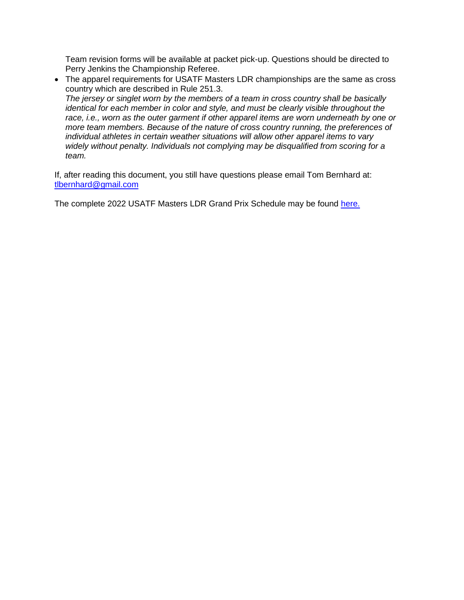Team revision forms will be available at packet pick-up. Questions should be directed to Perry Jenkins the Championship Referee.

• The apparel requirements for USATF Masters LDR championships are the same as cross country which are described in Rule 251.3. *The jersey or singlet worn by the members of a team in cross country shall be basically identical for each member in color and style, and must be clearly visible throughout the race, i.e., worn as the outer garment if other apparel items are worn underneath by one or more team members. Because of the nature of cross country running, the preferences of individual athletes in certain weather situations will allow other apparel items to vary widely without penalty. Individuals not complying may be disqualified from scoring for a team.*

If, after reading this document, you still have questions please email Tom Bernhard at: [tlbernhard@gmail.com](mailto:tlbernhard@gmail.com)

The complete 2022 USATF Masters LDR Grand Prix Schedule may be found [here.](https://www.pausatf.org/wp-content/legacy/2022/2022%20Masters%20LDR%20Grand%20Prix%20Schedule.pdf?_t=1643907014)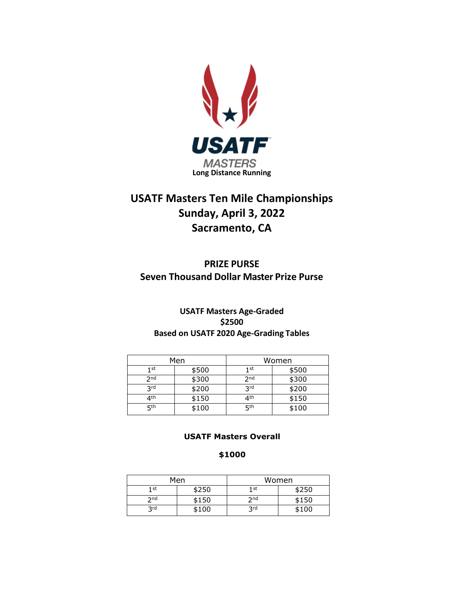

# **USATF Masters Ten Mile Championships Sunday, April 3, 2022 Sacramento, CA**

**PRIZE PURSE Seven Thousand Dollar Master Prize Purse**

# **USATF Masters Age-Graded \$2500 Based on USATF 2020 Age-Grading Tables**

| Men             |       | Women           |       |
|-----------------|-------|-----------------|-------|
| 1 st            | \$500 | 1st             | \$500 |
| 2 <sub>nd</sub> | \$300 | 2 <sub>nd</sub> | \$300 |
| <b>Rrd</b>      | \$200 | <b>Rrd</b>      | \$200 |
| 4th             | \$150 | 4th             | \$150 |
| <b>қth</b>      | \$100 | <b>қth</b>      | \$100 |

## **USATF Masters Overall**

# **\$1000**

| Men             |       | Women           |       |
|-----------------|-------|-----------------|-------|
| 1 st            | \$250 | 1 <sub>st</sub> | \$250 |
| 2 <sub>nd</sub> | \$150 | 2 <sub>nd</sub> | \$150 |
| <b>Rrd</b>      | \$100 | 3 <sup>rd</sup> | \$100 |